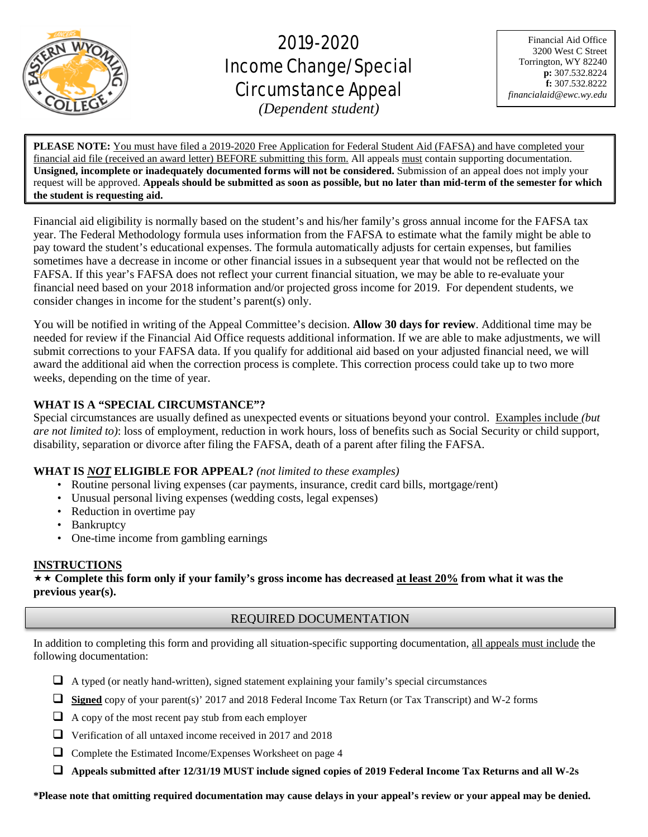

# 2019-2020 Income Change/Special Circumstance Appeal

Financial Aid Office 3200 West C Street Torrington, WY 82240 **p:** 307.532.8224 **f:** 307.532.8222 *financialaid@ewc.wy.edu*

*(Dependent student)*

 $\overline{a}$ 

**PLEASE NOTE:** You must have filed a 2019-2020 Free Application for Federal Student Aid (FAFSA) and have completed your financial aid file (received an award letter) BEFORE submitting this form. All appeals must contain supporting documentation. **Unsigned, incomplete or inadequately documented forms will not be considered.** Submission of an appeal does not imply your request will be approved. **Appeals should be submitted as soon as possible, but no later than mid-term of the semester for which the student is requesting aid.**

Financial aid eligibility is normally based on the student's and his/her family's gross annual income for the FAFSA tax year. The Federal Methodology formula uses information from the FAFSA to estimate what the family might be able to pay toward the student's educational expenses. The formula automatically adjusts for certain expenses, but families sometimes have a decrease in income or other financial issues in a subsequent year that would not be reflected on the FAFSA. If this year's FAFSA does not reflect your current financial situation, we may be able to re-evaluate your financial need based on your 2018 information and/or projected gross income for 2019. For dependent students, we consider changes in income for the student's parent(s) only.

You will be notified in writing of the Appeal Committee's decision. **Allow 30 days for review**. Additional time may be needed for review if the Financial Aid Office requests additional information. If we are able to make adjustments, we will submit corrections to your FAFSA data. If you qualify for additional aid based on your adjusted financial need, we will award the additional aid when the correction process is complete. This correction process could take up to two more weeks, depending on the time of year.

# **WHAT IS A "SPECIAL CIRCUMSTANCE"?**

Special circumstances are usually defined as unexpected events or situations beyond your control. Examples include *(but are not limited to)*: loss of employment, reduction in work hours, loss of benefits such as Social Security or child support, disability, separation or divorce after filing the FAFSA, death of a parent after filing the FAFSA.

# **WHAT IS** *NOT* **ELIGIBLE FOR APPEAL?** *(not limited to these examples)*

- Routine personal living expenses (car payments, insurance, credit card bills, mortgage/rent)
- Unusual personal living expenses (wedding costs, legal expenses)
- Reduction in overtime pay
- Bankruptcy
- One-time income from gambling earnings

## **INSTRUCTIONS**

 **Complete this form only if your family's gross income has decreased at least 20% from what it was the previous year(s).**

# REQUIRED DOCUMENTATION

In addition to completing this form and providing all situation-specific supporting documentation, all appeals must include the following documentation:

- $\Box$  A typed (or neatly hand-written), signed statement explaining your family's special circumstances
- **Signed** copy of your parent(s)' 2017 and 2018 Federal Income Tax Return (or Tax Transcript) and W-2 forms
- $\Box$  A copy of the most recent pay stub from each employer
- $\Box$  Verification of all untaxed income received in 2017 and 2018
- Complete the Estimated Income/Expenses Worksheet on page 4
- **Appeals submitted after 12/31/19 MUST include signed copies of 2019 Federal Income Tax Returns and all W-2s**

**\*Please note that omitting required documentation may cause delays in your appeal's review or your appeal may be denied.**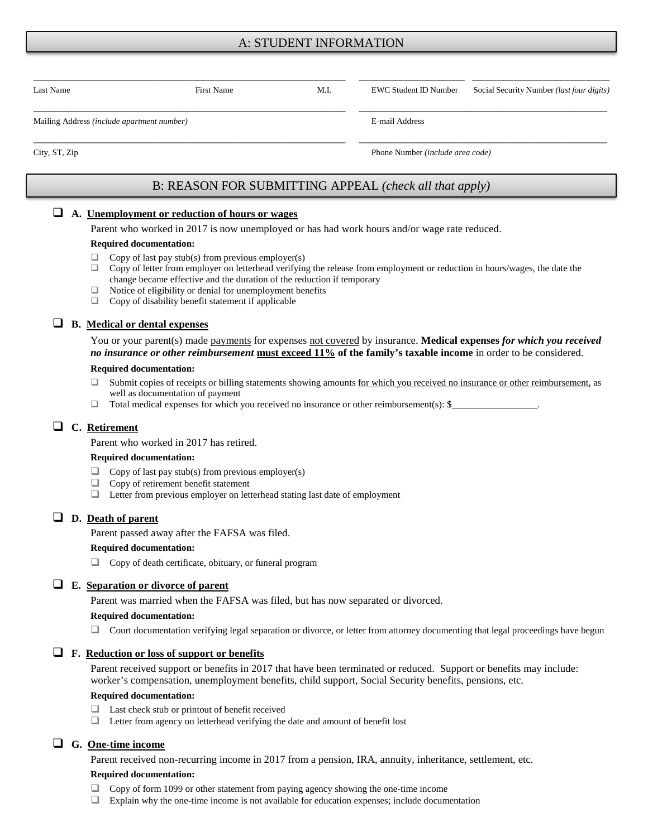# A: STUDENT INFORMATION

| Last Name                                  | <b>First Name</b> | M.I. | EWC Student ID Number            | Social Security Number <i>(last four digits)</i> |  |
|--------------------------------------------|-------------------|------|----------------------------------|--------------------------------------------------|--|
| Mailing Address (include apartment number) |                   |      | E-mail Address                   |                                                  |  |
| City, ST, Zip                              |                   |      | Phone Number (include area code) |                                                  |  |

# B: REASON FOR SUBMITTING APPEAL *(check all that apply)*

## **A. Unemployment or reduction of hours or wages**

Parent who worked in 2017 is now unemployed or has had work hours and/or wage rate reduced.

#### **Required documentation:**

- $\Box$  Copy of last pay stub(s) from previous employer(s)
- $\Box$  Copy of letter from employer on letterhead verifying the release from employment or reduction in hours/wages, the date the change became effective and the duration of the reduction if temporary
- $\Box$  Notice of eligibility or denial for unemployment benefits  $\Box$  Copy of disability benefit statement if applicable
- Copy of disability benefit statement if applicable

## **B. Medical or dental expenses**

You or your parent(s) made payments for expenses not covered by insurance. **Medical expenses** *for which you received no insurance or other reimbursement* **must exceed 11% of the family's taxable income** in order to be considered.

#### **Required documentation:**

- □ Submit copies of receipts or billing statements showing amounts for which you received no insurance or other reimbursement, as well as documentation of payment
- $\Box$  Total medical expenses for which you received no insurance or other reimbursement(s): \$

## **C. Retirement**

Parent who worked in 2017 has retired.

#### **Required documentation:**

- $\Box$  Copy of last pay stub(s) from previous employer(s)<br> $\Box$  Copy of retirement benefit statement
- Copy of retirement benefit statement
- Letter from previous employer on letterhead stating last date of employment

## **D. Death of parent**

Parent passed away after the FAFSA was filed.

#### **Required documentation:**

Copy of death certificate, obituary, or funeral program

## **E. Separation or divorce of parent**

Parent was married when the FAFSA was filed, but has now separated or divorced.

#### **Required documentation:**

 $\Box$  Court documentation verifying legal separation or divorce, or letter from attorney documenting that legal proceedings have begun

### **F. Reduction or loss of support or benefits**

Parent received support or benefits in 2017 that have been terminated or reduced. Support or benefits may include: worker's compensation, unemployment benefits, child support, Social Security benefits, pensions, etc.

### **Required documentation:**

- □ Last check stub or printout of benefit received
- Letter from agency on letterhead verifying the date and amount of benefit lost

## **G. One-time income**

Parent received non-recurring income in 2017 from a pension, IRA, annuity, inheritance, settlement, etc.

#### **Required documentation:**

- Copy of form 1099 or other statement from paying agency showing the one-time income
- Explain why the one-time income is not available for education expenses; include documentation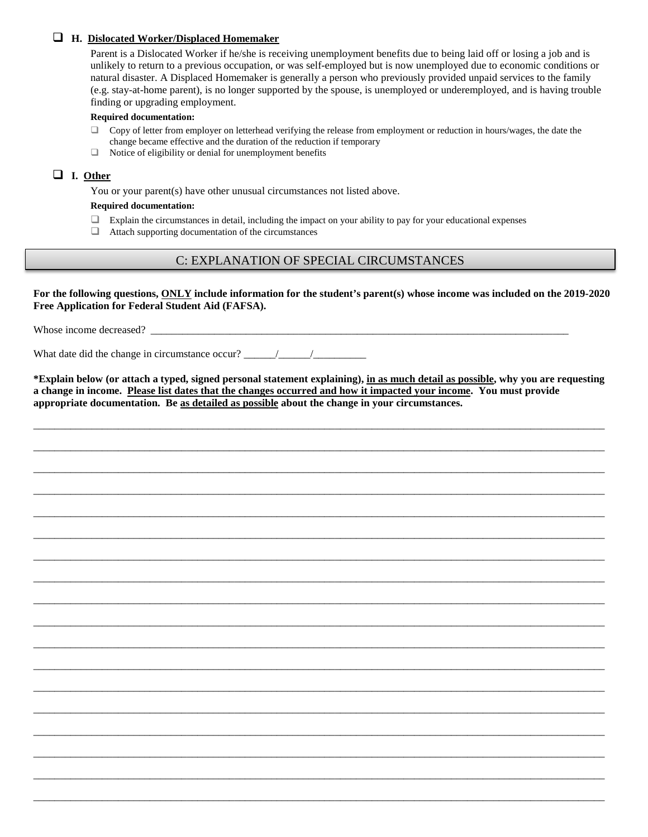## **H. Dislocated Worker/Displaced Homemaker**

Parent is a Dislocated Worker if he/she is receiving unemployment benefits due to being laid off or losing a job and is unlikely to return to a previous occupation, or was self-employed but is now unemployed due to economic conditions or natural disaster. A Displaced Homemaker is generally a person who previously provided unpaid services to the family (e.g. stay-at-home parent), is no longer supported by the spouse, is unemployed or underemployed, and is having trouble finding or upgrading employment.

### **Required documentation:**

- $\Box$  Copy of letter from employer on letterhead verifying the release from employment or reduction in hours/wages, the date the change became effective and the duration of the reduction if temporary
- $\Box$  Notice of eligibility or denial for unemployment benefits

## **I. Other**

You or your parent(s) have other unusual circumstances not listed above.

### **Required documentation:**

- $\Box$  Explain the circumstances in detail, including the impact on your ability to pay for your educational expenses
- $\Box$  Attach supporting documentation of the circumstances

# C: EXPLANATION OF SPECIAL CIRCUMSTANCES

**For the following questions, ONLY include information for the student's parent(s) whose income was included on the 2019-2020 Free Application for Federal Student Aid (FAFSA).**

Whose income decreased? \_\_\_\_\_\_\_\_\_\_\_\_\_\_\_\_\_\_\_\_\_\_\_\_\_\_\_\_\_\_\_\_\_\_\_\_\_\_\_\_\_\_\_\_\_\_\_\_\_\_\_\_\_\_\_\_\_\_\_\_\_\_\_\_\_\_\_\_\_\_\_\_\_\_\_\_\_\_\_

What date did the change in circumstance occur?  $\frac{\frac{1}{2} \left| \frac{1}{2} \right|}{\frac{1}{2} \left| \frac{1}{2} \right|}$ 

**\*Explain below (or attach a typed, signed personal statement explaining), in as much detail as possible, why you are requesting a change in income. Please list dates that the changes occurred and how it impacted your income. You must provide appropriate documentation. Be as detailed as possible about the change in your circumstances.** 

\_\_\_\_\_\_\_\_\_\_\_\_\_\_\_\_\_\_\_\_\_\_\_\_\_\_\_\_\_\_\_\_\_\_\_\_\_\_\_\_\_\_\_\_\_\_\_\_\_\_\_\_\_\_\_\_\_\_\_\_\_\_\_\_\_\_\_\_\_\_\_\_\_\_\_\_\_\_\_\_\_\_\_\_\_\_\_\_\_\_\_\_\_\_\_\_\_\_\_\_\_\_\_\_\_\_\_\_

\_\_\_\_\_\_\_\_\_\_\_\_\_\_\_\_\_\_\_\_\_\_\_\_\_\_\_\_\_\_\_\_\_\_\_\_\_\_\_\_\_\_\_\_\_\_\_\_\_\_\_\_\_\_\_\_\_\_\_\_\_\_\_\_\_\_\_\_\_\_\_\_\_\_\_\_\_\_\_\_\_\_\_\_\_\_\_\_\_\_\_\_\_\_\_\_\_\_\_\_\_\_\_\_\_\_\_\_

\_\_\_\_\_\_\_\_\_\_\_\_\_\_\_\_\_\_\_\_\_\_\_\_\_\_\_\_\_\_\_\_\_\_\_\_\_\_\_\_\_\_\_\_\_\_\_\_\_\_\_\_\_\_\_\_\_\_\_\_\_\_\_\_\_\_\_\_\_\_\_\_\_\_\_\_\_\_\_\_\_\_\_\_\_\_\_\_\_\_\_\_\_\_\_\_\_\_\_\_\_\_\_\_\_\_\_\_

\_\_\_\_\_\_\_\_\_\_\_\_\_\_\_\_\_\_\_\_\_\_\_\_\_\_\_\_\_\_\_\_\_\_\_\_\_\_\_\_\_\_\_\_\_\_\_\_\_\_\_\_\_\_\_\_\_\_\_\_\_\_\_\_\_\_\_\_\_\_\_\_\_\_\_\_\_\_\_\_\_\_\_\_\_\_\_\_\_\_\_\_\_\_\_\_\_\_\_\_\_\_\_\_\_\_\_\_

\_\_\_\_\_\_\_\_\_\_\_\_\_\_\_\_\_\_\_\_\_\_\_\_\_\_\_\_\_\_\_\_\_\_\_\_\_\_\_\_\_\_\_\_\_\_\_\_\_\_\_\_\_\_\_\_\_\_\_\_\_\_\_\_\_\_\_\_\_\_\_\_\_\_\_\_\_\_\_\_\_\_\_\_\_\_\_\_\_\_\_\_\_\_\_\_\_\_\_\_\_\_\_\_\_\_\_\_

\_\_\_\_\_\_\_\_\_\_\_\_\_\_\_\_\_\_\_\_\_\_\_\_\_\_\_\_\_\_\_\_\_\_\_\_\_\_\_\_\_\_\_\_\_\_\_\_\_\_\_\_\_\_\_\_\_\_\_\_\_\_\_\_\_\_\_\_\_\_\_\_\_\_\_\_\_\_\_\_\_\_\_\_\_\_\_\_\_\_\_\_\_\_\_\_\_\_\_\_\_\_\_\_\_\_\_\_

\_\_\_\_\_\_\_\_\_\_\_\_\_\_\_\_\_\_\_\_\_\_\_\_\_\_\_\_\_\_\_\_\_\_\_\_\_\_\_\_\_\_\_\_\_\_\_\_\_\_\_\_\_\_\_\_\_\_\_\_\_\_\_\_\_\_\_\_\_\_\_\_\_\_\_\_\_\_\_\_\_\_\_\_\_\_\_\_\_\_\_\_\_\_\_\_\_\_\_\_\_\_\_\_\_\_\_\_

\_\_\_\_\_\_\_\_\_\_\_\_\_\_\_\_\_\_\_\_\_\_\_\_\_\_\_\_\_\_\_\_\_\_\_\_\_\_\_\_\_\_\_\_\_\_\_\_\_\_\_\_\_\_\_\_\_\_\_\_\_\_\_\_\_\_\_\_\_\_\_\_\_\_\_\_\_\_\_\_\_\_\_\_\_\_\_\_\_\_\_\_\_\_\_\_\_\_\_\_\_\_\_\_\_\_\_\_

\_\_\_\_\_\_\_\_\_\_\_\_\_\_\_\_\_\_\_\_\_\_\_\_\_\_\_\_\_\_\_\_\_\_\_\_\_\_\_\_\_\_\_\_\_\_\_\_\_\_\_\_\_\_\_\_\_\_\_\_\_\_\_\_\_\_\_\_\_\_\_\_\_\_\_\_\_\_\_\_\_\_\_\_\_\_\_\_\_\_\_\_\_\_\_\_\_\_\_\_\_\_\_\_\_\_\_\_

\_\_\_\_\_\_\_\_\_\_\_\_\_\_\_\_\_\_\_\_\_\_\_\_\_\_\_\_\_\_\_\_\_\_\_\_\_\_\_\_\_\_\_\_\_\_\_\_\_\_\_\_\_\_\_\_\_\_\_\_\_\_\_\_\_\_\_\_\_\_\_\_\_\_\_\_\_\_\_\_\_\_\_\_\_\_\_\_\_\_\_\_\_\_\_\_\_\_\_\_\_\_\_\_\_\_\_\_

\_\_\_\_\_\_\_\_\_\_\_\_\_\_\_\_\_\_\_\_\_\_\_\_\_\_\_\_\_\_\_\_\_\_\_\_\_\_\_\_\_\_\_\_\_\_\_\_\_\_\_\_\_\_\_\_\_\_\_\_\_\_\_\_\_\_\_\_\_\_\_\_\_\_\_\_\_\_\_\_\_\_\_\_\_\_\_\_\_\_\_\_\_\_\_\_\_\_\_\_\_\_\_\_\_\_\_\_

\_\_\_\_\_\_\_\_\_\_\_\_\_\_\_\_\_\_\_\_\_\_\_\_\_\_\_\_\_\_\_\_\_\_\_\_\_\_\_\_\_\_\_\_\_\_\_\_\_\_\_\_\_\_\_\_\_\_\_\_\_\_\_\_\_\_\_\_\_\_\_\_\_\_\_\_\_\_\_\_\_\_\_\_\_\_\_\_\_\_\_\_\_\_\_\_\_\_\_\_\_\_\_\_\_\_\_\_

\_\_\_\_\_\_\_\_\_\_\_\_\_\_\_\_\_\_\_\_\_\_\_\_\_\_\_\_\_\_\_\_\_\_\_\_\_\_\_\_\_\_\_\_\_\_\_\_\_\_\_\_\_\_\_\_\_\_\_\_\_\_\_\_\_\_\_\_\_\_\_\_\_\_\_\_\_\_\_\_\_\_\_\_\_\_\_\_\_\_\_\_\_\_\_\_\_\_\_\_\_\_\_\_\_\_\_\_

\_\_\_\_\_\_\_\_\_\_\_\_\_\_\_\_\_\_\_\_\_\_\_\_\_\_\_\_\_\_\_\_\_\_\_\_\_\_\_\_\_\_\_\_\_\_\_\_\_\_\_\_\_\_\_\_\_\_\_\_\_\_\_\_\_\_\_\_\_\_\_\_\_\_\_\_\_\_\_\_\_\_\_\_\_\_\_\_\_\_\_\_\_\_\_\_\_\_\_\_\_\_\_\_\_\_\_\_

\_\_\_\_\_\_\_\_\_\_\_\_\_\_\_\_\_\_\_\_\_\_\_\_\_\_\_\_\_\_\_\_\_\_\_\_\_\_\_\_\_\_\_\_\_\_\_\_\_\_\_\_\_\_\_\_\_\_\_\_\_\_\_\_\_\_\_\_\_\_\_\_\_\_\_\_\_\_\_\_\_\_\_\_\_\_\_\_\_\_\_\_\_\_\_\_\_\_\_\_\_\_\_\_\_\_\_\_

\_\_\_\_\_\_\_\_\_\_\_\_\_\_\_\_\_\_\_\_\_\_\_\_\_\_\_\_\_\_\_\_\_\_\_\_\_\_\_\_\_\_\_\_\_\_\_\_\_\_\_\_\_\_\_\_\_\_\_\_\_\_\_\_\_\_\_\_\_\_\_\_\_\_\_\_\_\_\_\_\_\_\_\_\_\_\_\_\_\_\_\_\_\_\_\_\_\_\_\_\_\_\_\_\_\_\_\_

\_\_\_\_\_\_\_\_\_\_\_\_\_\_\_\_\_\_\_\_\_\_\_\_\_\_\_\_\_\_\_\_\_\_\_\_\_\_\_\_\_\_\_\_\_\_\_\_\_\_\_\_\_\_\_\_\_\_\_\_\_\_\_\_\_\_\_\_\_\_\_\_\_\_\_\_\_\_\_\_\_\_\_\_\_\_\_\_\_\_\_\_\_\_\_\_\_\_\_\_\_\_\_\_\_\_\_\_

\_\_\_\_\_\_\_\_\_\_\_\_\_\_\_\_\_\_\_\_\_\_\_\_\_\_\_\_\_\_\_\_\_\_\_\_\_\_\_\_\_\_\_\_\_\_\_\_\_\_\_\_\_\_\_\_\_\_\_\_\_\_\_\_\_\_\_\_\_\_\_\_\_\_\_\_\_\_\_\_\_\_\_\_\_\_\_\_\_\_\_\_\_\_\_\_\_\_\_\_\_\_\_\_\_\_\_\_